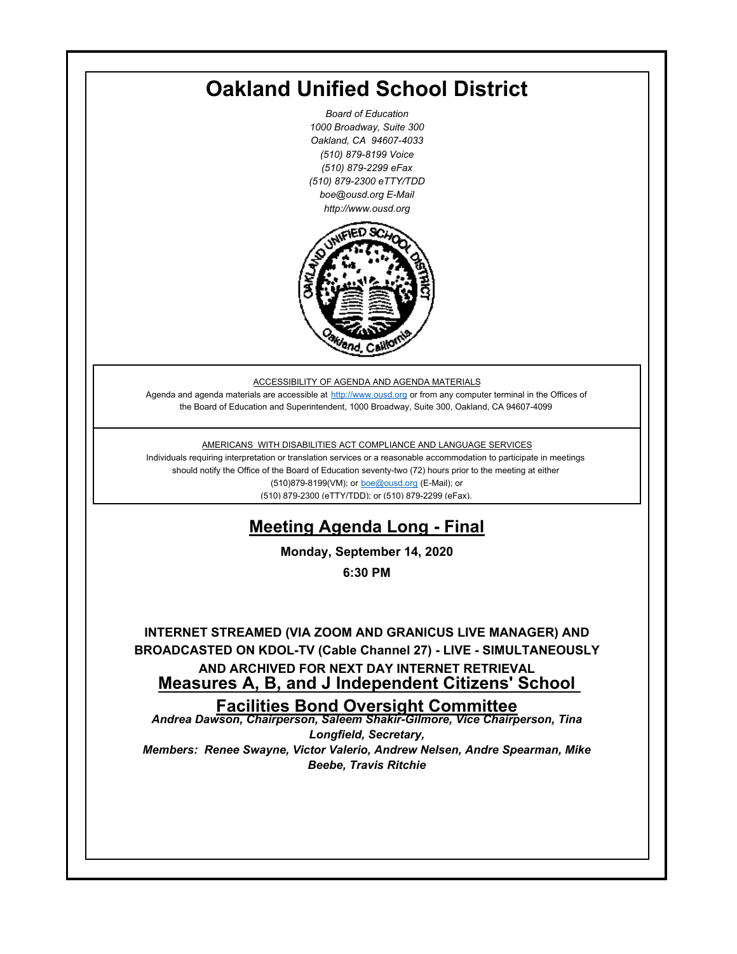# **Oakland Unified School District**

*Board of Education 1000 Broadway, Suite 300 Oakland, CA 94607-4033 (510) 879-8199 Voice (510) 879-2299 eFax (510) 879-2300 eTTY/TDD boe@ousd.org E-Mail http://www.ousd.org*



ACCESSIBILITY OF AGENDA AND AGENDA MATERIALS

Agenda and agenda materials are accessible at http://www.ousd.org or from any computer terminal in the Offices of the Board of Education and Superintendent, 1000 Broadway, Suite 300, Oakland, CA 94607-4099

#### AMERICANS WITH DISABILITIES ACT COMPLIANCE AND LANGUAGE SERVICES

Individuals requiring interpretation or translation services or a reasonable accommodation to participate in meetings should notify the Office of the Board of Education seventy-two (72) hours prior to the meeting at either (510)879-8199(VM); or boe@ousd.org (E-Mail); or (510) 879-2300 (eTTY/TDD); or (510) 879-2299 (eFax).

## **Meeting Agenda Long - Final**

**Monday, September 14, 2020**

**6:30 PM**

**INTERNET STREAMED (VIA ZOOM AND GRANICUS LIVE MANAGER) AND BROADCASTED ON KDOL-TV (Cable Channel 27) - LIVE - SIMULTANEOUSLY AND ARCHIVED FOR NEXT DAY INTERNET RETRIEVAL Measures A, B, and J Independent Citizens' School** 

#### **Facilities Bond Oversight Committee**

*Andrea Dawson, Chairperson, Saleem Shakir-Gilmore, Vice Chairperson, Tina Longfield, Secretary, Members: Renee Swayne, Victor Valerio, Andrew Nelsen, Andre Spearman, Mike* 

*Beebe, Travis Ritchie*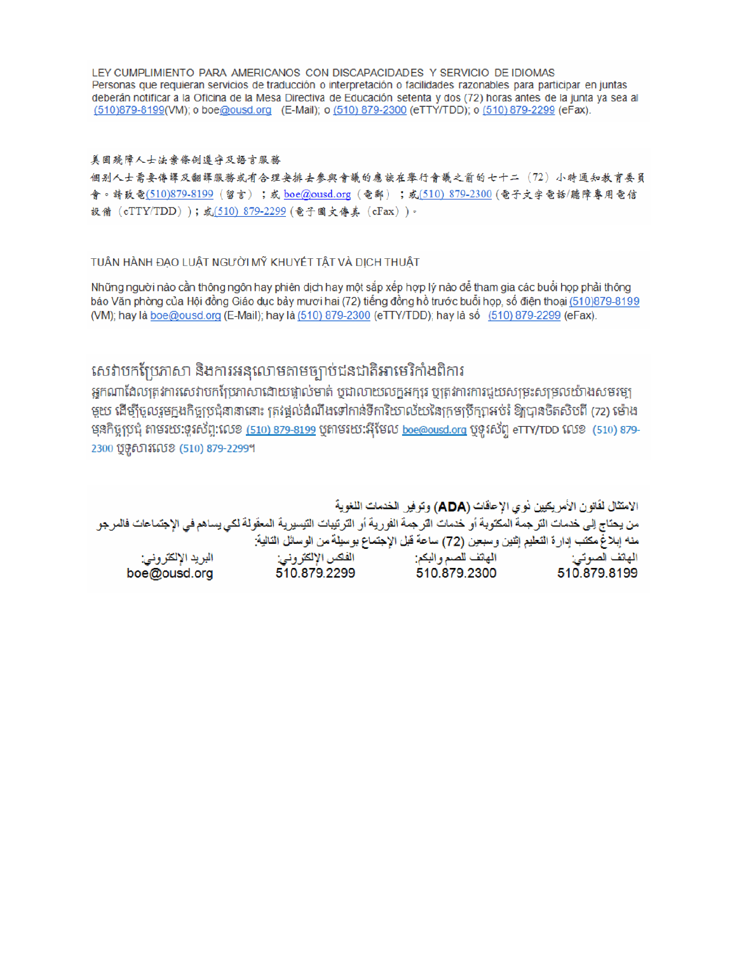LEY CUMPLIMIENTO PARA AMERICANOS CON DISCAPACIDADES Y SERVICIO DE IDIOMAS Personas que requieran servicios de traducción o interpretación o facilidades razonables para participar en juntas deberán notificar a la Oficina de la Mesa Directiva de Educación setenta y dos (72) horas antes de la junta ya sea al (510)879-8199(VM); o boe@ousd.org (E-Mail); o (510) 879-2300 (eTTY/TDD); o (510) 879-2299 (eFax).

#### 美国残障人士法案條例遵守及語言服務

個别人士需要傳譯及翻譯服務或有合理安排去參與會議的應該在舉行會議之前的七十二(72)小時通知教育委員 會。請致電(510)879-8199(留言);或 boe@ousd.org (電郵) ;或(510) 879-2300 (電子文字電話/聽障專用電信 設備 (eTTY/TDD));或(510) 879-2299 (電子圖文傳真 (eFax))。

#### TUẦN HÀNH ĐẠO LUẬT NGƯỜI MỸ KHUYẾT TẤT VÀ DỊCH THUẬT

Những người nào cần thông ngôn hay phiên dịch hay một sắp xếp hợp lý nào để tham gia các buổi họp phải thông báo Văn phòng của Hội đồng Giáo dục bảy mươi hai (72) tiếng đồng hồ trước buổi họp, số điện thoại (510)879-8199 (VM); hay là boe@ousd.org (E-Mail); hay là (510) 879-2300 (eTTY/TDD); hay là số (510) 879-2299 (eFax).

### សេវាបកប្រែភាសា និងការអនុលោមតាមច្បាប់ជនជាតិអាមេរិកាំងពិការ

អកណាដែលត្រូវការសេវាបកប្រែភាសាដោយផ្ទាល់មាត់ ឬជាលាយលក្ខអក្សរ ឬត្រូវការការជួយសម្រះសម្រលយ៉ាងសមរម្យ មួយ ដើម្បីចូលរួមក្នុងកិច្ចប្រជុំនានានោះ ត្រវង្គល់ដំណឹងទៅកាន់ទីការិយាល័យនៃក្រមប្រឹក្សាអប់រំ ឱ្យបានចិតសិបពី (72) ម៉ោង មុនកិច្ចប្រជុំ តាមរយៈទូរស័ព្ទ:លេខ <u>(510) 879-8199</u> បុតាមរយៈអ៊ីមែល <u>boe@ousd.org</u> បុទូរស័ព្ទ eTTY/TDD លេខ (510) 879-2300 ប៊ូទូសារលេខ (510) 879-2299។

الامتثال لقانون الأمريكيين نو ي الإحاقات (ADA) وتوفير الخدمات اللغوية من يحتاج إلى خدمات الترجمة المكتوبة أو خدمات الترجمة الفورية أو الترتيبات التيسيرية المعفّولة لكي يساهم في الإجتماعات فالمرجو منه إبلاغ مكتب إدارة التعليم إثنين وسبعين (72) ساعة قبل الإجتماع بوسيلة من الوسائل التالية: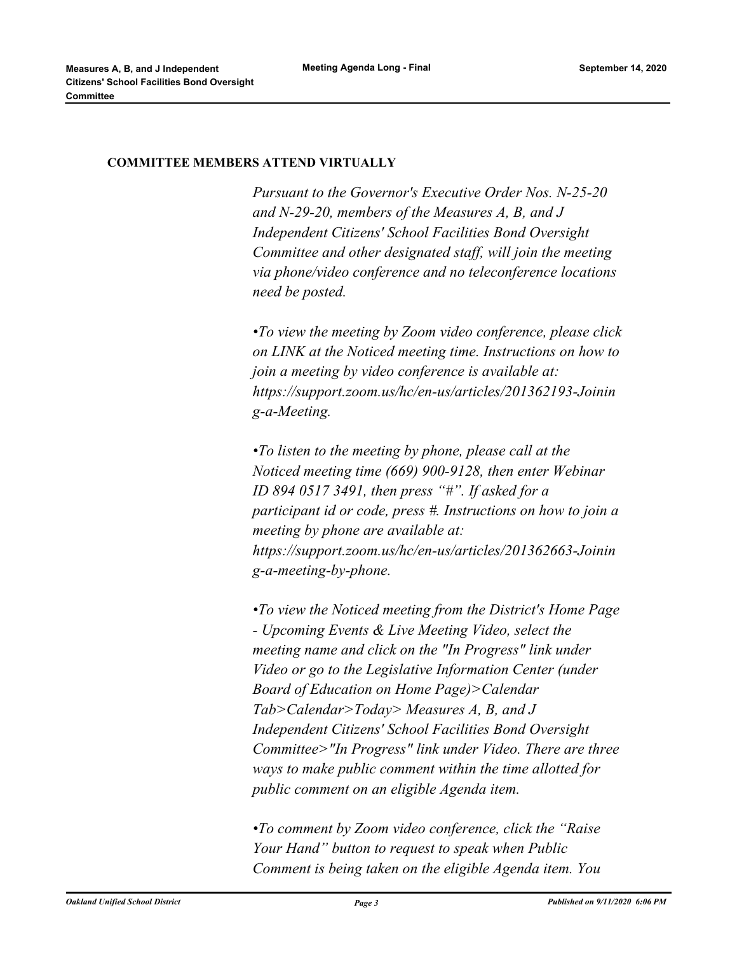#### **COMMITTEE MEMBERS ATTEND VIRTUALLY**

*Pursuant to the Governor's Executive Order Nos. N-25-20 and N-29-20, members of the Measures A, B, and J Independent Citizens' School Facilities Bond Oversight Committee and other designated staff, will join the meeting via phone/video conference and no teleconference locations need be posted.* 

*•To view the meeting by Zoom video conference, please click on LINK at the Noticed meeting time. Instructions on how to join a meeting by video conference is available at: https://support.zoom.us/hc/en-us/articles/201362193-Joinin g-a-Meeting.* 

*•To listen to the meeting by phone, please call at the Noticed meeting time (669) 900-9128, then enter Webinar ID 894 0517 3491, then press "#". If asked for a participant id or code, press #. Instructions on how to join a meeting by phone are available at: https://support.zoom.us/hc/en-us/articles/201362663-Joinin g-a-meeting-by-phone.* 

*•To view the Noticed meeting from the District's Home Page - Upcoming Events & Live Meeting Video, select the meeting name and click on the "In Progress" link under Video or go to the Legislative Information Center (under Board of Education on Home Page)>Calendar Tab>Calendar>Today> Measures A, B, and J Independent Citizens' School Facilities Bond Oversight Committee>"In Progress" link under Video. There are three ways to make public comment within the time allotted for public comment on an eligible Agenda item.* 

*•To comment by Zoom video conference, click the "Raise Your Hand" button to request to speak when Public Comment is being taken on the eligible Agenda item. You*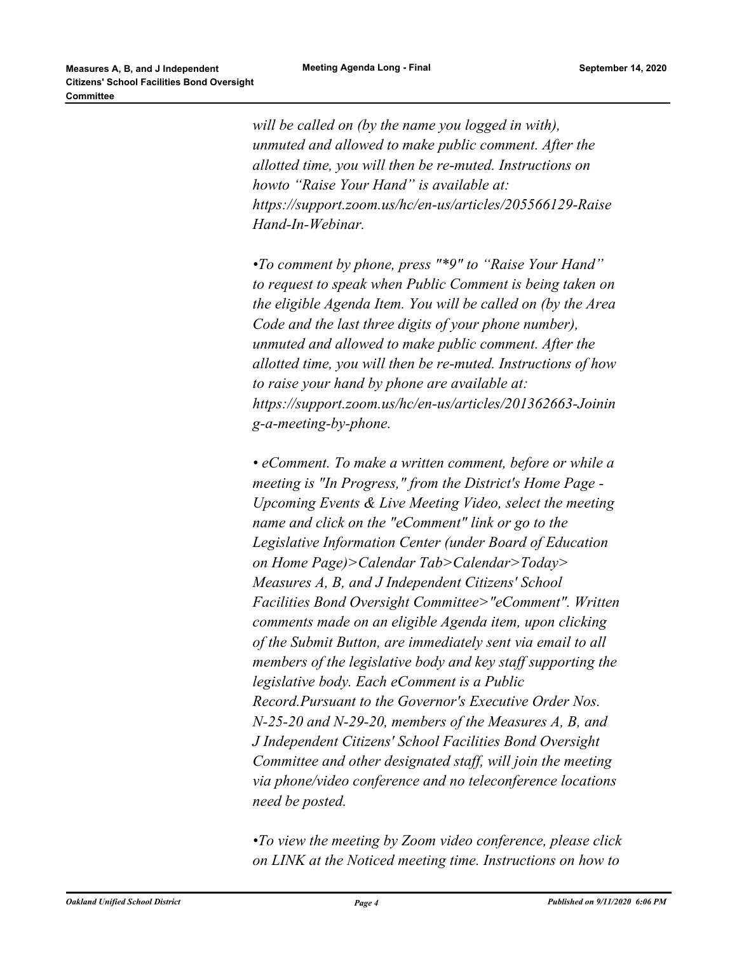*will be called on (by the name you logged in with), unmuted and allowed to make public comment. After the allotted time, you will then be re-muted. Instructions on howto "Raise Your Hand" is available at: https://support.zoom.us/hc/en-us/articles/205566129-Raise Hand-In-Webinar.* 

*•To comment by phone, press "\*9" to "Raise Your Hand" to request to speak when Public Comment is being taken on the eligible Agenda Item. You will be called on (by the Area Code and the last three digits of your phone number), unmuted and allowed to make public comment. After the allotted time, you will then be re-muted. Instructions of how to raise your hand by phone are available at: https://support.zoom.us/hc/en-us/articles/201362663-Joinin g-a-meeting-by-phone.* 

*• eComment. To make a written comment, before or while a meeting is "In Progress," from the District's Home Page - Upcoming Events & Live Meeting Video, select the meeting name and click on the "eComment" link or go to the Legislative Information Center (under Board of Education on Home Page)>Calendar Tab>Calendar>Today> Measures A, B, and J Independent Citizens' School Facilities Bond Oversight Committee>"eComment". Written comments made on an eligible Agenda item, upon clicking of the Submit Button, are immediately sent via email to all members of the legislative body and key staff supporting the legislative body. Each eComment is a Public Record.Pursuant to the Governor's Executive Order Nos. N-25-20 and N-29-20, members of the Measures A, B, and J Independent Citizens' School Facilities Bond Oversight Committee and other designated staff, will join the meeting via phone/video conference and no teleconference locations need be posted.* 

*•To view the meeting by Zoom video conference, please click on LINK at the Noticed meeting time. Instructions on how to*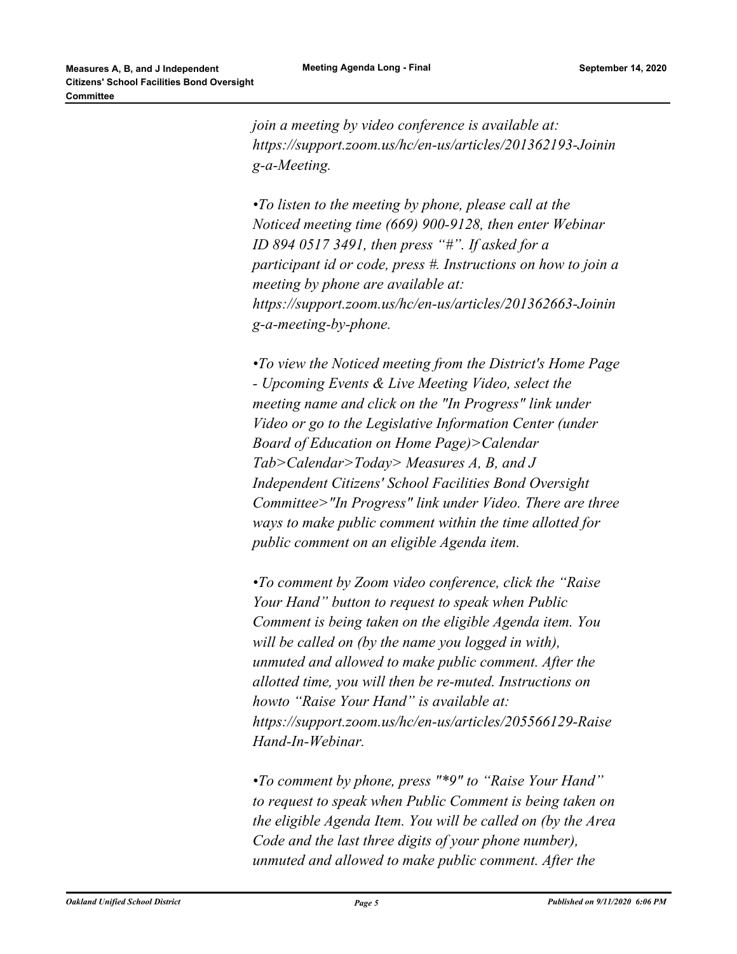*join a meeting by video conference is available at: https://support.zoom.us/hc/en-us/articles/201362193-Joinin g-a-Meeting.* 

*•To listen to the meeting by phone, please call at the Noticed meeting time (669) 900-9128, then enter Webinar ID 894 0517 3491, then press "#". If asked for a participant id or code, press #. Instructions on how to join a meeting by phone are available at: https://support.zoom.us/hc/en-us/articles/201362663-Joinin g-a-meeting-by-phone.* 

*•To view the Noticed meeting from the District's Home Page - Upcoming Events & Live Meeting Video, select the meeting name and click on the "In Progress" link under Video or go to the Legislative Information Center (under Board of Education on Home Page)>Calendar Tab>Calendar>Today> Measures A, B, and J Independent Citizens' School Facilities Bond Oversight Committee>"In Progress" link under Video. There are three ways to make public comment within the time allotted for public comment on an eligible Agenda item.* 

*•To comment by Zoom video conference, click the "Raise Your Hand" button to request to speak when Public Comment is being taken on the eligible Agenda item. You will be called on (by the name you logged in with), unmuted and allowed to make public comment. After the allotted time, you will then be re-muted. Instructions on howto "Raise Your Hand" is available at: https://support.zoom.us/hc/en-us/articles/205566129-Raise Hand-In-Webinar.* 

*•To comment by phone, press "\*9" to "Raise Your Hand" to request to speak when Public Comment is being taken on the eligible Agenda Item. You will be called on (by the Area Code and the last three digits of your phone number), unmuted and allowed to make public comment. After the*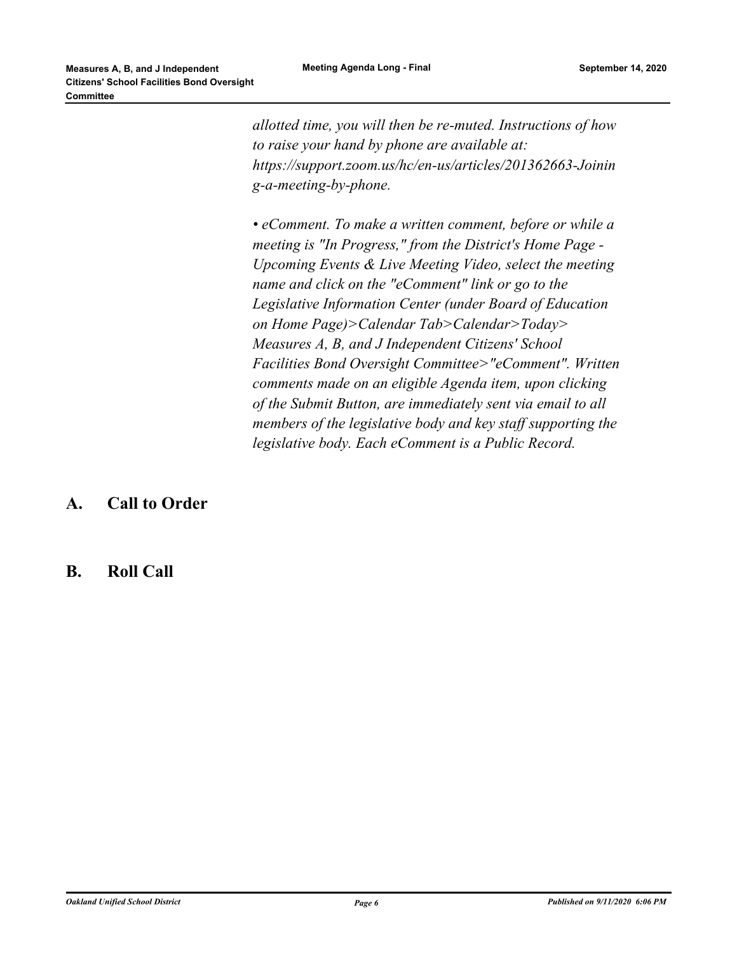*allotted time, you will then be re-muted. Instructions of how to raise your hand by phone are available at: https://support.zoom.us/hc/en-us/articles/201362663-Joinin g-a-meeting-by-phone.* 

*• eComment. To make a written comment, before or while a meeting is "In Progress," from the District's Home Page - Upcoming Events & Live Meeting Video, select the meeting name and click on the "eComment" link or go to the Legislative Information Center (under Board of Education on Home Page)>Calendar Tab>Calendar>Today> Measures A, B, and J Independent Citizens' School Facilities Bond Oversight Committee>"eComment". Written comments made on an eligible Agenda item, upon clicking of the Submit Button, are immediately sent via email to all members of the legislative body and key staff supporting the legislative body. Each eComment is a Public Record.*

### **A. Call to Order**

### **B. Roll Call**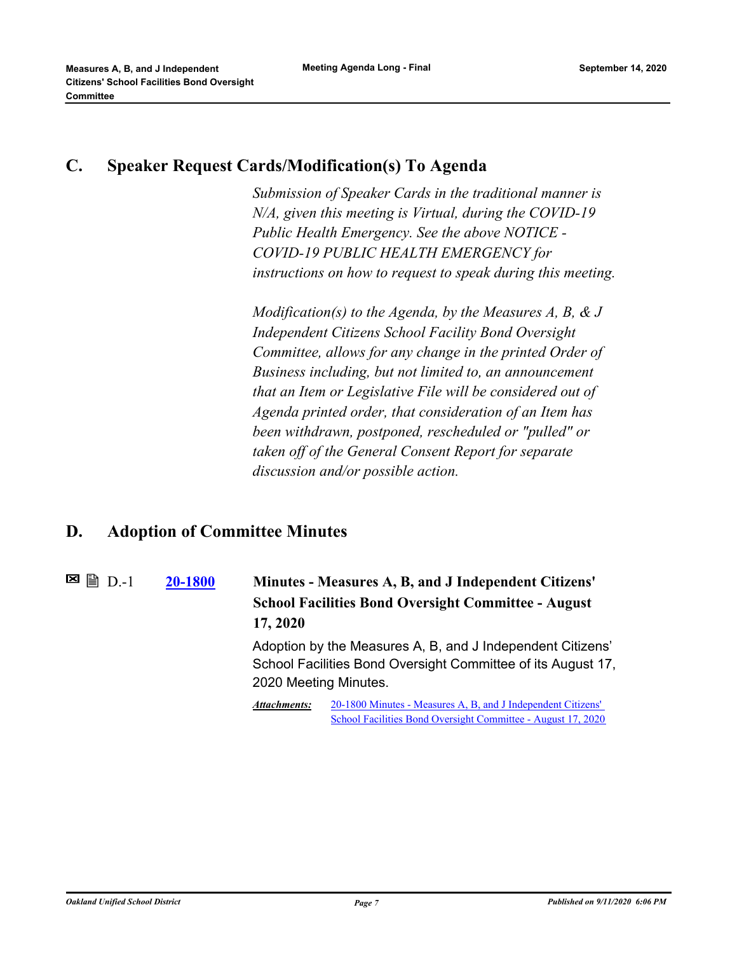### **C. Speaker Request Cards/Modification(s) To Agenda**

*Submission of Speaker Cards in the traditional manner is N/A, given this meeting is Virtual, during the COVID-19 Public Health Emergency. See the above NOTICE - COVID-19 PUBLIC HEALTH EMERGENCY for instructions on how to request to speak during this meeting.*

*Modification(s) to the Agenda, by the Measures A, B, & J Independent Citizens School Facility Bond Oversight Committee, allows for any change in the printed Order of Business including, but not limited to, an announcement that an Item or Legislative File will be considered out of Agenda printed order, that consideration of an Item has been withdrawn, postponed, rescheduled or "pulled" or taken off of the General Consent Report for separate discussion and/or possible action.*

### **D. Adoption of Committee Minutes**

**[20-1800](http://ousd.legistar.com/gateway.aspx?m=l&id=/matter.aspx?key=50387) Minutes - Measures A, B, and J Independent Citizens' School Facilities Bond Oversight Committee - August 17, 2020**  $\blacksquare$  A  $\blacksquare$  D.-1 Adoption by the Measures A, B, and J Independent Citizens' School Facilities Bond Oversight Committee of its August 17, 2020 Meeting Minutes. 20-1800 Minutes - Measures A, B, and J Independent Citizens' [School Facilities Bond Oversight Committee - August 17, 2020](https://ousd.legistar.com/View.ashx?M=M&ID=801500&GUID=C7940672-47EA-4F40-B908-71DEE09EC30A) *Attachments:*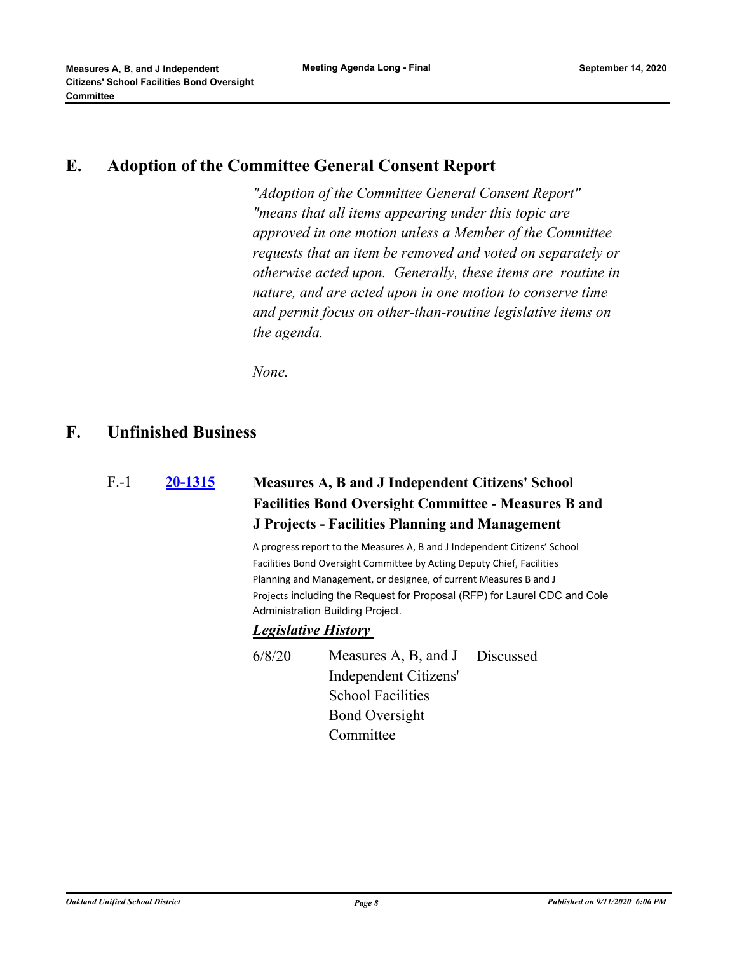### **E. Adoption of the Committee General Consent Report**

*"Adoption of the Committee General Consent Report" "means that all items appearing under this topic are approved in one motion unless a Member of the Committee requests that an item be removed and voted on separately or otherwise acted upon. Generally, these items are routine in nature, and are acted upon in one motion to conserve time and permit focus on other-than-routine legislative items on the agenda.*

*None.*

#### **F. Unfinished Business**

| F.-1 | 20-1315 |  |
|------|---------|--|
|      |         |  |

### **[20-1315](http://ousd.legistar.com/gateway.aspx?m=l&id=/matter.aspx?key=49903) Measures A, B and J Independent Citizens' School Facilities Bond Oversight Committee - Measures B and J Projects - Facilities Planning and Management**

A progress report to the Measures A, B and J Independent Citizens' School Facilities Bond Oversight Committee by Acting Deputy Chief, Facilities Planning and Management, or designee, of current Measures B and J Projects including the Request for Proposal (RFP) for Laurel CDC and Cole Administration Building Project.

#### *Legislative History*

6/8/20 Measures A, B, and J Independent Citizens' School Facilities Bond Oversight **Committee** Discussed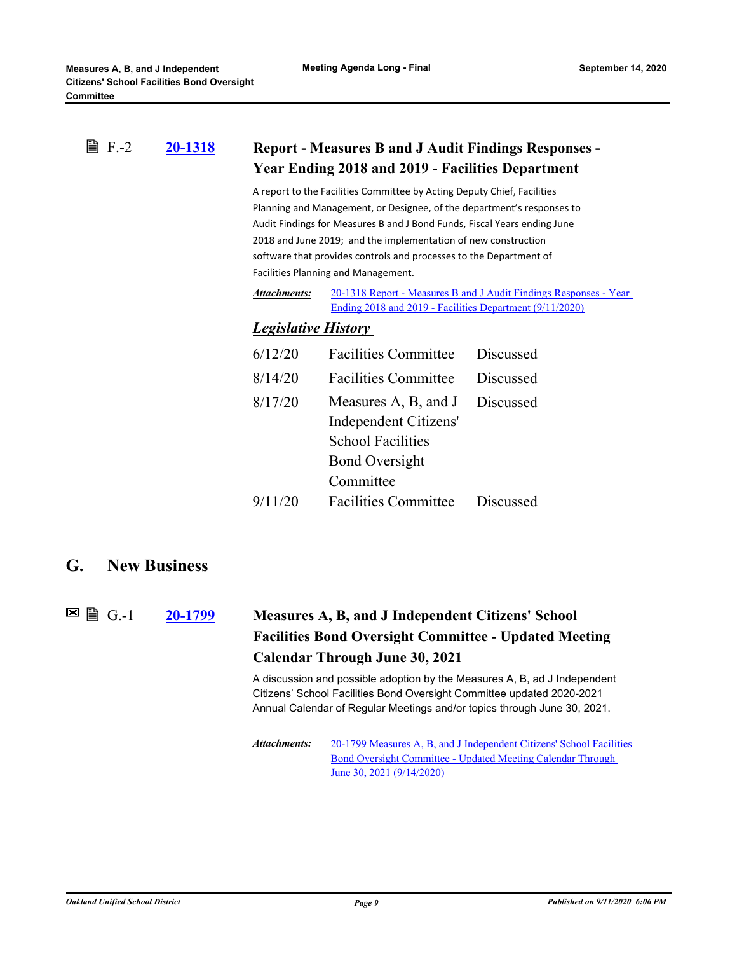#### **[20-1318](http://ousd.legistar.com/gateway.aspx?m=l&id=/matter.aspx?key=49906) Report - Measures B and J Audit Findings Responses - Year Ending 2018 and 2019 - Facilities Department ■ F.-2**

A report to the Facilities Committee by Acting Deputy Chief, Facilities Planning and Management, or Designee, of the department's responses to Audit Findings for Measures B and J Bond Funds, Fiscal Years ending June 2018 and June 2019; and the implementation of new construction software that provides controls and processes to the Department of Facilities Planning and Management.

[20-1318 Report - Measures B and J Audit Findings Responses - Year](http://ousd.legistar.com/gateway.aspx?M=F&ID=96207.pdf)  Ending 2018 and 2019 - Facilities Department (9/11/2020) *Attachments:*

#### *Legislative History*

| 6/12/20 | Facilities Committee Discussed            |           |
|---------|-------------------------------------------|-----------|
| 8/14/20 | <b>Facilities Committee</b>               | Discussed |
| 8/17/20 | Measures $A$ , $B$ , and $J$<br>Discussed |           |
|         | Independent Citizens'                     |           |
|         | <b>School Facilities</b>                  |           |
|         | <b>Bond Oversight</b>                     |           |
|         | Committee                                 |           |
| 9/11/20 | <b>Facilities Committee</b>               | Discussed |

#### **G. New Business**

 $\Xi$  A  $G-1$ 

### **[20-1799](http://ousd.legistar.com/gateway.aspx?m=l&id=/matter.aspx?key=50386) Measures A, B, and J Independent Citizens' School Facilities Bond Oversight Committee - Updated Meeting Calendar Through June 30, 2021**

A discussion and possible adoption by the Measures A, B, ad J Independent Citizens' School Facilities Bond Oversight Committee updated 2020-2021 Annual Calendar of Regular Meetings and/or topics through June 30, 2021.

[20-1799 Measures A, B, and J Independent Citizens' School Facilities](http://ousd.legistar.com/gateway.aspx?M=F&ID=96217.pdf)  Bond Oversight Committee - Updated Meeting Calendar Through June 30, 2021 (9/14/2020) *Attachments:*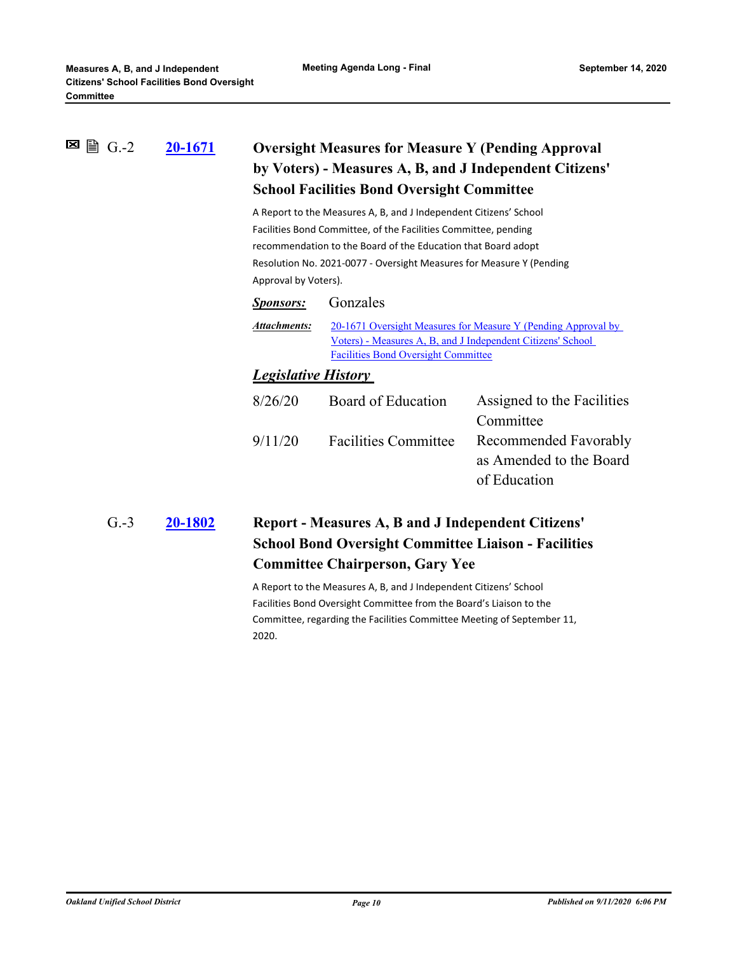#### **[20-1671](http://ousd.legistar.com/gateway.aspx?m=l&id=/matter.aspx?key=50258) Oversight Measures for Measure Y (Pending Approval by Voters) - Measures A, B, and J Independent Citizens' School Facilities Bond Oversight Committee** G.-2

A Report to the Measures A, B, and J Independent Citizens' School Facilities Bond Committee, of the Facilities Committee, pending recommendation to the Board of the Education that Board adopt Resolution No. 2021-0077 - Oversight Measures for Measure Y (Pending Approval by Voters).

| <b>Sponsors:</b>           | Gonzales                                                                                                                                                                   |                            |  |
|----------------------------|----------------------------------------------------------------------------------------------------------------------------------------------------------------------------|----------------------------|--|
| Attachments:               | 20-1671 Oversight Measures for Measure Y (Pending Approval by<br>Voters) - Measures A, B, and J Independent Citizens' School<br><b>Facilities Bond Oversight Committee</b> |                            |  |
| <b>Legislative History</b> |                                                                                                                                                                            |                            |  |
| 8/26/20                    | Board of Education                                                                                                                                                         | Assigned to the Facilities |  |

|         | <i>rooffice to the recentres</i>           |
|---------|--------------------------------------------|
|         | Committee                                  |
| 9/11/20 | Facilities Committee Recommended Favorably |
|         | as Amended to the Board                    |
|         | of Education                               |
|         |                                            |

#### **[20-1802](http://ousd.legistar.com/gateway.aspx?m=l&id=/matter.aspx?key=50389) Report - Measures A, B and J Independent Citizens' School Bond Oversight Committee Liaison - Facilities Committee Chairperson, Gary Yee** G.-3

A Report to the Measures A, B, and J Independent Citizens' School Facilities Bond Oversight Committee from the Board's Liaison to the Committee, regarding the Facilities Committee Meeting of September 11, 2020.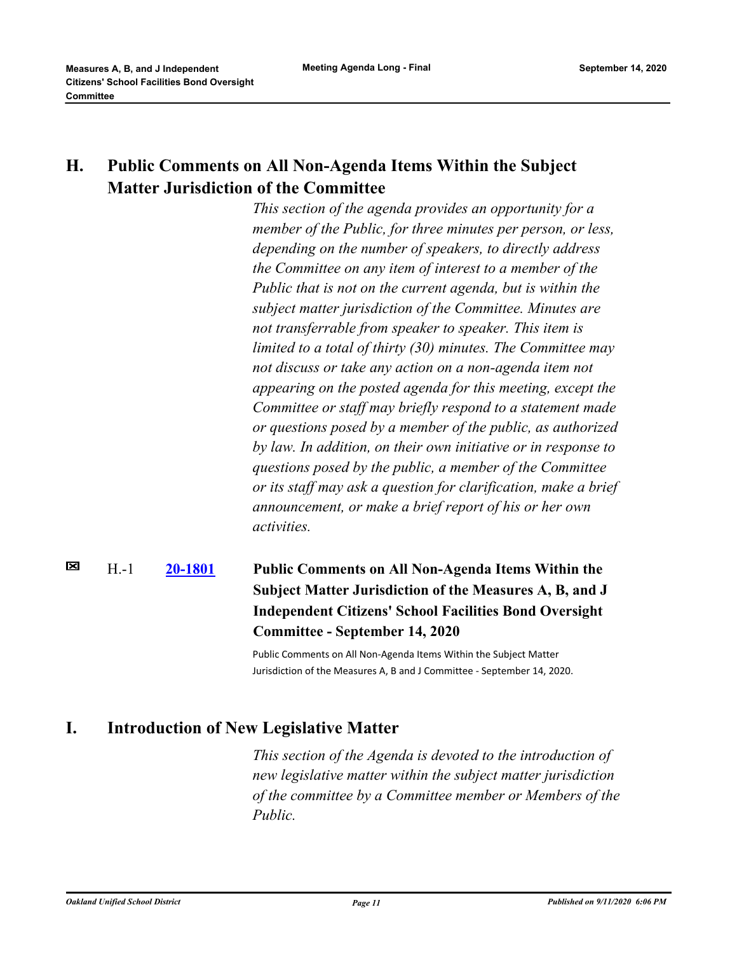### **H. Public Comments on All Non-Agenda Items Within the Subject Matter Jurisdiction of the Committee**

*This section of the agenda provides an opportunity for a member of the Public, for three minutes per person, or less, depending on the number of speakers, to directly address the Committee on any item of interest to a member of the Public that is not on the current agenda, but is within the subject matter jurisdiction of the Committee. Minutes are not transferrable from speaker to speaker. This item is limited to a total of thirty (30) minutes. The Committee may not discuss or take any action on a non-agenda item not appearing on the posted agenda for this meeting, except the Committee or staff may briefly respond to a statement made or questions posed by a member of the public, as authorized by law. In addition, on their own initiative or in response to questions posed by the public, a member of the Committee or its staff may ask a question for clarification, make a brief announcement, or make a brief report of his or her own activities.*

#### ⊠ H.-1 **[20-1801](http://ousd.legistar.com/gateway.aspx?m=l&id=/matter.aspx?key=50388) Public Comments on All Non-Agenda Items Within the Subject Matter Jurisdiction of the Measures A, B, and J Independent Citizens' School Facilities Bond Oversight Committee - September 14, 2020**

Public Comments on All Non-Agenda Items Within the Subject Matter Jurisdiction of the Measures A, B and J Committee - September 14, 2020.

### **I. Introduction of New Legislative Matter**

*This section of the Agenda is devoted to the introduction of new legislative matter within the subject matter jurisdiction of the committee by a Committee member or Members of the Public.*